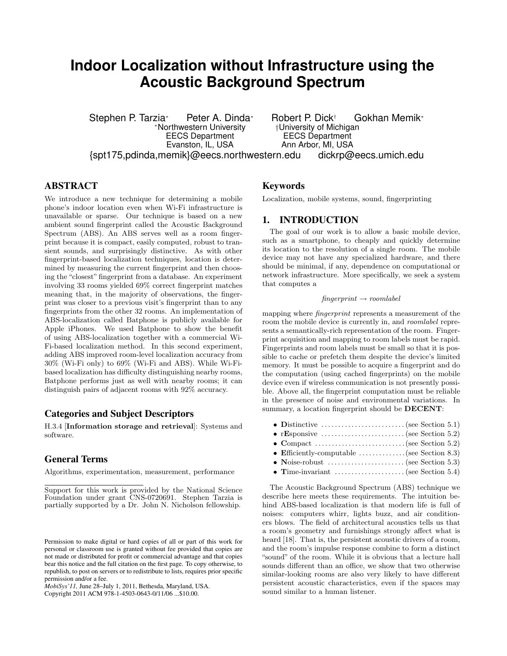# **Indoor Localization without Infrastructure using the Acoustic Background Spectrum**

Stephen P. Tarzia<sup>∗</sup> Peter A. Dinda<sup>∗</sup> Robert P. Dick<sup>†</sup> Gokhan Memik<sup>∗</sup><br><sup>∗</sup>Northwestern University the telephiyersity of Michigan EECS Department<br>Evanston, IL, USA {spt175,pdinda,memik}@eecs.northwestern.edu dickrp@eecs.umich.edu

†University of Michigan<br>EECS Department Ann Arbor, MI, USA

# ABSTRACT

We introduce a new technique for determining a mobile phone's indoor location even when Wi-Fi infrastructure is unavailable or sparse. Our technique is based on a new ambient sound fingerprint called the Acoustic Background Spectrum (ABS). An ABS serves well as a room fingerprint because it is compact, easily computed, robust to transient sounds, and surprisingly distinctive. As with other fingerprint-based localization techniques, location is determined by measuring the current fingerprint and then choosing the "closest" fingerprint from a database. An experiment involving 33 rooms yielded 69% correct fingerprint matches meaning that, in the majority of observations, the fingerprint was closer to a previous visit's fingerprint than to any fingerprints from the other 32 rooms. An implementation of ABS-localization called Batphone is publicly available for Apple iPhones. We used Batphone to show the benefit of using ABS-localization together with a commercial Wi-Fi-based localization method. In this second experiment, adding ABS improved room-level localization accuracy from 30% (Wi-Fi only) to 69% (Wi-Fi and ABS). While Wi-Fibased localization has difficulty distinguishing nearby rooms, Batphone performs just as well with nearby rooms; it can distinguish pairs of adjacent rooms with 92% accuracy.

## Categories and Subject Descriptors

H.3.4 [Information storage and retrieval]: Systems and software.

## General Terms

Algorithms, experimentation, measurement, performance

*MobiSys'11,* June 28–July 1, 2011, Bethesda, Maryland, USA. Copyright 2011 ACM 978-1-4503-0643-0/11/06 ...\$10.00.

## Keywords

Localization, mobile systems, sound, fingerprinting

## 1. INTRODUCTION

The goal of our work is to allow a basic mobile device, such as a smartphone, to cheaply and quickly determine its location to the resolution of a single room. The mobile device may not have any specialized hardware, and there should be minimal, if any, dependence on computational or network infrastructure. More specifically, we seek a system that computes a

#### $fingerprint \rightarrow roomlabel$

mapping where fingerprint represents a measurement of the room the mobile device is currently in, and roomlabel represents a semantically-rich representation of the room. Fingerprint acquisition and mapping to room labels must be rapid. Fingerprints and room labels must be small so that it is possible to cache or prefetch them despite the device's limited memory. It must be possible to acquire a fingerprint and do the computation (using cached fingerprints) on the mobile device even if wireless communication is not presently possible. Above all, the fingerprint computation must be reliable in the presence of noise and environmental variations. In summary, a location fingerprint should be **DECENT**:

- Distinctive  $\dots \dots \dots \dots \dots \dots \dots$  (see Section 5.1)
- rEsponsive . . . . . . . . . . . . . . . . . . . . . . . . . (see Section 5.2)
- Compact  $\dots\dots\dots\dots\dots\dots\dots\dots\dots\dots$  (see Section 5.2)
- Efficiently-computable  $\dots\dots\dots\dots$  (see Section 8.3) • Noise-robust  $\dots$ . . . . . . . . . . . . . . . . . (see Section 5.3)
- 
- Time-invariant  $\dots \dots \dots \dots \dots \dots$  (see Section 5.4)

The Acoustic Background Spectrum (ABS) technique we describe here meets these requirements. The intuition behind ABS-based localization is that modern life is full of noises: computers whirr, lights buzz, and air conditioners blows. The field of architectural acoustics tells us that a room's geometry and furnishings strongly affect what is heard [18]. That is, the persistent acoustic drivers of a room, and the room's impulse response combine to form a distinct "sound" of the room. While it is obvious that a lecture hall sounds different than an office, we show that two otherwise similar-looking rooms are also very likely to have different persistent acoustic characteristics, even if the spaces may sound similar to a human listener.

Support for this work is provided by the National Science Foundation under grant CNS-0720691. Stephen Tarzia is partially supported by a Dr. John N. Nicholson fellowship.

Permission to make digital or hard copies of all or part of this work for personal or classroom use is granted without fee provided that copies are not made or distributed for profit or commercial advantage and that copies bear this notice and the full citation on the first page. To copy otherwise, to republish, to post on servers or to redistribute to lists, requires prior specific permission and/or a fee.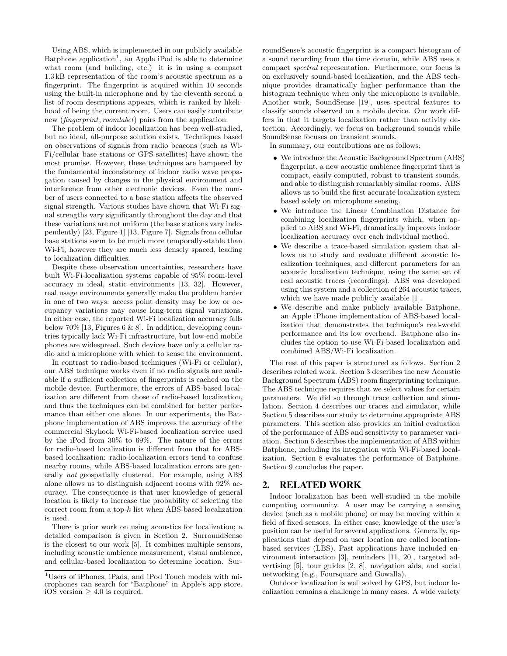Using ABS, which is implemented in our publicly available Batphone application<sup>1</sup>, an Apple iPod is able to determine what room (and building, etc.) it is in using a compact 1.3 kB representation of the room's acoustic spectrum as a fingerprint. The fingerprint is acquired within 10 seconds using the built-in microphone and by the eleventh second a list of room descriptions appears, which is ranked by likelihood of being the current room. Users can easily contribute new (*fingerprint, roomlabel*) pairs from the application.

The problem of indoor localization has been well-studied, but no ideal, all-purpose solution exists. Techniques based on observations of signals from radio beacons (such as Wi-Fi/cellular base stations or GPS satellites) have shown the most promise. However, these techniques are hampered by the fundamental inconsistency of indoor radio wave propagation caused by changes in the physical environment and interference from other electronic devices. Even the number of users connected to a base station affects the observed signal strength. Various studies have shown that Wi-Fi signal strengths vary significantly throughout the day and that these variations are not uniform (the base stations vary independently) [23, Figure 1] [13, Figure 7]. Signals from cellular base stations seem to be much more temporally-stable than Wi-Fi, however they are much less densely spaced, leading to localization difficulties.

Despite these observation uncertainties, researchers have built Wi-Fi-localization systems capable of 95% room-level accuracy in ideal, static environments [13, 32]. However, real usage environments generally make the problem harder in one of two ways: access point density may be low or occupancy variations may cause long-term signal variations. In either case, the reported Wi-Fi localization accuracy falls below  $70\%$  [13, Figures 6 & 8]. In addition, developing countries typically lack Wi-Fi infrastructure, but low-end mobile phones are widespread. Such devices have only a cellular radio and a microphone with which to sense the environment.

In contrast to radio-based techniques (Wi-Fi or cellular), our ABS technique works even if no radio signals are available if a sufficient collection of fingerprints is cached on the mobile device. Furthermore, the errors of ABS-based localization are different from those of radio-based localization, and thus the techniques can be combined for better performance than either one alone. In our experiments, the Batphone implementation of ABS improves the accuracy of the commercial Skyhook Wi-Fi-based localization service used by the iPod from 30% to 69%. The nature of the errors for radio-based localization is different from that for ABSbased localization: radio-localization errors tend to confuse nearby rooms, while ABS-based localization errors are generally not geospatially clustered. For example, using ABS alone allows us to distinguish adjacent rooms with 92% accuracy. The consequence is that user knowledge of general location is likely to increase the probability of selecting the correct room from a top- $k$  list when ABS-based localization is used.

There is prior work on using acoustics for localization; a detailed comparison is given in Section 2. SurroundSense is the closest to our work [5]. It combines multiple sensors, including acoustic ambience measurement, visual ambience, and cellular-based localization to determine location. SurroundSense's acoustic fingerprint is a compact histogram of a sound recording from the time domain, while ABS uses a compact spectral representation. Furthermore, our focus is on exclusively sound-based localization, and the ABS technique provides dramatically higher performance than the histogram technique when only the microphone is available. Another work, SoundSense [19], uses spectral features to classify sounds observed on a mobile device. Our work differs in that it targets localization rather than activity detection. Accordingly, we focus on background sounds while SoundSense focuses on transient sounds.

In summary, our contributions are as follows:

- We introduce the Acoustic Background Spectrum (ABS) fingerprint, a new acoustic ambience fingerprint that is compact, easily computed, robust to transient sounds, and able to distinguish remarkably similar rooms. ABS allows us to build the first accurate localization system based solely on microphone sensing.
- We introduce the Linear Combination Distance for combining localization fingerprints which, when applied to ABS and Wi-Fi, dramatically improves indoor localization accuracy over each individual method.
- We describe a trace-based simulation system that allows us to study and evaluate different acoustic localization techniques, and different parameters for an acoustic localization technique, using the same set of real acoustic traces (recordings). ABS was developed using this system and a collection of 264 acoustic traces, which we have made publicly available [1].
- We describe and make publicly available Batphone, an Apple iPhone implementation of ABS-based localization that demonstrates the technique's real-world performance and its low overhead. Batphone also includes the option to use Wi-Fi-based localization and combined ABS/Wi-Fi localization.

The rest of this paper is structured as follows. Section 2 describes related work. Section 3 describes the new Acoustic Background Spectrum (ABS) room fingerprinting technique. The ABS technique requires that we select values for certain parameters. We did so through trace collection and simulation. Section 4 describes our traces and simulator, while Section 5 describes our study to determine appropriate ABS parameters. This section also provides an initial evaluation of the performance of ABS and sensitivity to parameter variation. Section 6 describes the implementation of ABS within Batphone, including its integration with Wi-Fi-based localization. Section 8 evaluates the performance of Batphone. Section 9 concludes the paper.

# 2. RELATED WORK

Indoor localization has been well-studied in the mobile computing community. A user may be carrying a sensing device (such as a mobile phone) or may be moving within a field of fixed sensors. In either case, knowledge of the user's position can be useful for several applications. Generally, applications that depend on user location are called locationbased services (LBS). Past applications have included environment interaction [3], reminders [11, 20], targeted advertising [5], tour guides [2, 8], navigation aids, and social networking (e.g., Foursquare and Gowalla).

Outdoor localization is well solved by GPS, but indoor localization remains a challenge in many cases. A wide variety

<sup>&</sup>lt;sup>1</sup>Users of iPhones, iPads, and iPod Touch models with microphones can search for "Batphone" in Apple's app store. iOS version  $\geq 4.0$  is required.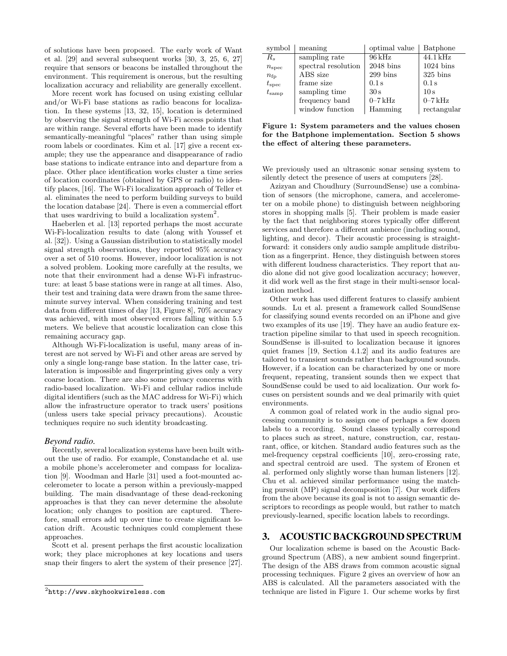of solutions have been proposed. The early work of Want et al. [29] and several subsequent works [30, 3, 25, 6, 27] require that sensors or beacons be installed throughout the environment. This requirement is onerous, but the resulting localization accuracy and reliability are generally excellent.

More recent work has focused on using existing cellular and/or Wi-Fi base stations as radio beacons for localization. In these systems [13, 32, 15], location is determined by observing the signal strength of Wi-Fi access points that are within range. Several efforts have been made to identify semantically-meaningful "places" rather than using simple room labels or coordinates. Kim et al. [17] give a recent example; they use the appearance and disappearance of radio base stations to indicate entrance into and departure from a place. Other place identification works cluster a time series of location coordinates (obtained by GPS or radio) to identify places, [16]. The Wi-Fi localization approach of Teller et al. eliminates the need to perform building surveys to build the location database [24]. There is even a commercial effort that uses wardriving to build a localization system<sup>2</sup>.

Haeberlen et al. [13] reported perhaps the most accurate Wi-Fi-localization results to date (along with Youssef et al. [32]). Using a Gaussian distribution to statistically model signal strength observations, they reported 95% accuracy over a set of 510 rooms. However, indoor localization is not a solved problem. Looking more carefully at the results, we note that their environment had a dense Wi-Fi infrastructure: at least 5 base stations were in range at all times. Also, their test and training data were drawn from the same threeminute survey interval. When considering training and test data from different times of day [13, Figure 8], 70% accuracy was achieved, with most observed errors falling within 5.5 meters. We believe that acoustic localization can close this remaining accuracy gap.

Although Wi-Fi-localization is useful, many areas of interest are not served by Wi-Fi and other areas are served by only a single long-range base station. In the latter case, trilateration is impossible and fingerprinting gives only a very coarse location. There are also some privacy concerns with radio-based localization. Wi-Fi and cellular radios include digital identifiers (such as the MAC address for Wi-Fi) which allow the infrastructure operator to track users' positions (unless users take special privacy precautions). Acoustic techniques require no such identity broadcasting.

#### *Beyond radio.*

Recently, several localization systems have been built without the use of radio. For example, Constandache et al. use a mobile phone's accelerometer and compass for localization [9]. Woodman and Harle [31] used a foot-mounted accelerometer to locate a person within a previously-mapped building. The main disadvantage of these dead-reckoning approaches is that they can never determine the absolute location; only changes to position are captured. Therefore, small errors add up over time to create significant location drift. Acoustic techniques could complement these approaches.

Scott et al. present perhaps the first acoustic localization work; they place microphones at key locations and users snap their fingers to alert the system of their presence [27].

| symbol            | meaning             | optimal value          | Batphone                |
|-------------------|---------------------|------------------------|-------------------------|
| $R_{s}$           | sampling rate       | $96\,\mathrm{kHz}$     | $44.1\,\mathrm{kHz}$    |
| $n_{\rm spec}$    | spectral resolution | $2048$ bins            | $1024 \; \mathrm{bins}$ |
| $n_{\mathrm{fp}}$ | ABS size            | $299 \; \mathrm{bins}$ | $325 \; \mathrm{bins}$  |
| $t_{\rm spec}$    | frame size          | $0.1$ s                | $0.1$ s                 |
| $t_{\rm{samp}}$   | sampling time       | 30 s                   | 10s                     |
|                   | frequency band      | $0 - 7$ kHz            | $0 - 7$ kHz             |
|                   | window function     | Hamming                | rectangular             |

Figure 1: System parameters and the values chosen for the Batphone implementation. Section 5 shows the effect of altering these parameters.

We previously used an ultrasonic sonar sensing system to silently detect the presence of users at computers [28].

Azizyan and Choudhury (SurroundSense) use a combination of sensors (the microphone, camera, and accelerometer on a mobile phone) to distinguish between neighboring stores in shopping malls [5]. Their problem is made easier by the fact that neighboring stores typically offer different services and therefore a different ambience (including sound, lighting, and decor). Their acoustic processing is straightforward: it considers only audio sample amplitude distribution as a fingerprint. Hence, they distinguish between stores with different loudness characteristics. They report that audio alone did not give good localization accuracy; however, it did work well as the first stage in their multi-sensor localization method.

Other work has used different features to classify ambient sounds. Lu et al. present a framework called SoundSense for classifying sound events recorded on an iPhone and give two examples of its use [19]. They have an audio feature extraction pipeline similar to that used in speech recognition. SoundSense is ill-suited to localization because it ignores quiet frames [19, Section 4.1.2] and its audio features are tailored to transient sounds rather than background sounds. However, if a location can be characterized by one or more frequent, repeating, transient sounds then we expect that SoundSense could be used to aid localization. Our work focuses on persistent sounds and we deal primarily with quiet environments.

A common goal of related work in the audio signal processing community is to assign one of perhaps a few dozen labels to a recording. Sound classes typically correspond to places such as street, nature, construction, car, restaurant, office, or kitchen. Standard audio features such as the mel-frequency cepstral coefficients [10], zero-crossing rate, and spectral centroid are used. The system of Eronen et al. performed only slightly worse than human listeners [12]. Chu et al. achieved similar performance using the matching pursuit (MP) signal decomposition [7]. Our work differs from the above because its goal is not to assign semantic descriptors to recordings as people would, but rather to match previously-learned, specific location labels to recordings.

## 3. ACOUSTIC BACKGROUND SPECTRUM

Our localization scheme is based on the Acoustic Background Spectrum (ABS), a new ambient sound fingerprint. The design of the ABS draws from common acoustic signal processing techniques. Figure 2 gives an overview of how an ABS is calculated. All the parameters associated with the technique are listed in Figure 1. Our scheme works by first

 $^{2}$ http://www.skyhookwireless.com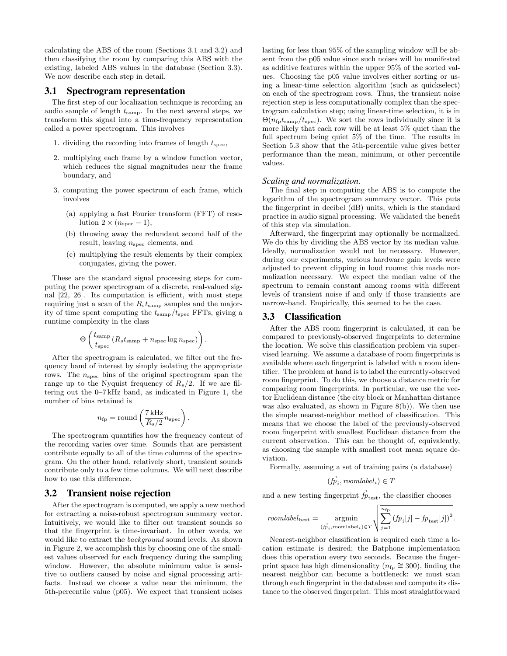calculating the ABS of the room (Sections 3.1 and 3.2) and then classifying the room by comparing this ABS with the existing, labeled ABS values in the database (Section 3.3). We now describe each step in detail.

#### 3.1 Spectrogram representation

The first step of our localization technique is recording an audio sample of length  $t_{\text{samp}}$ . In the next several steps, we transform this signal into a time-frequency representation called a power spectrogram. This involves

- 1. dividing the recording into frames of length  $t_{\text{spec}}$ ,
- 2. multiplying each frame by a window function vector, which reduces the signal magnitudes near the frame boundary, and
- 3. computing the power spectrum of each frame, which involves
	- (a) applying a fast Fourier transform (FFT) of resolution  $2 \times (n_{\text{spec}} - 1)$ ,
	- (b) throwing away the redundant second half of the result, leaving  $n_{\rm spec}$  elements, and
	- (c) multiplying the result elements by their complex conjugates, giving the power.

These are the standard signal processing steps for computing the power spectrogram of a discrete, real-valued signal [22, 26]. Its computation is efficient, with most steps requiring just a scan of the  $R_s t_{\text{samp}}$  samples and the majority of time spent computing the  $t_{\rm samp}/t_{\rm spec}$  FFTs, giving a runtime complexity in the class

$$
\Theta\left(\frac{t_{\text{ samp}}}{t_{\text{spec}}}(R_s t_{\text{ samp}} + n_{\text{spec}} \log n_{\text{spec}})\right).
$$

After the spectrogram is calculated, we filter out the frequency band of interest by simply isolating the appropriate rows. The  $n_{\rm spec}$  bins of the original spectrogram span the range up to the Nyquist frequency of  $R_s/2$ . If we are filtering out the 0–7 kHz band, as indicated in Figure 1, the number of bins retained is

$$
n_{\rm fp} = \text{round}\left(\frac{7\,\text{kHz}}{R_s/2}n_{\rm spec}\right).
$$

The spectrogram quantifies how the frequency content of the recording varies over time. Sounds that are persistent contribute equally to all of the time columns of the spectrogram. On the other hand, relatively short, transient sounds contribute only to a few time columns. We will next describe how to use this difference.

#### 3.2 Transient noise rejection

After the spectrogram is computed, we apply a new method for extracting a noise-robust spectrogram summary vector. Intuitively, we would like to filter out transient sounds so that the fingerprint is time-invariant. In other words, we would like to extract the *background* sound levels. As shown in Figure 2, we accomplish this by choosing one of the smallest values observed for each frequency during the sampling window. However, the absolute minimum value is sensitive to outliers caused by noise and signal processing artifacts. Instead we choose a value near the minimum, the 5th-percentile value (p05). We expect that transient noises

lasting for less than 95% of the sampling window will be absent from the p05 value since such noises will be manifested as additive features within the upper 95% of the sorted values. Choosing the p05 value involves either sorting or using a linear-time selection algorithm (such as quickselect) on each of the spectrogram rows. Thus, the transient noise rejection step is less computationally complex than the spectrogram calculation step; using linear-time selection, it is in  $\Theta(n_{\rm fb}t_{\rm samp}/t_{\rm spec})$ . We sort the rows individually since it is more likely that each row will be at least 5% quiet than the full spectrum being quiet 5% of the time. The results in Section 5.3 show that the 5th-percentile value gives better performance than the mean, minimum, or other percentile values.

#### *Scaling and normalization.*

The final step in computing the ABS is to compute the logarithm of the spectrogram summary vector. This puts the fingerprint in decibel (dB) units, which is the standard practice in audio signal processing. We validated the benefit of this step via simulation.

Afterward, the fingerprint may optionally be normalized. We do this by dividing the ABS vector by its median value. Ideally, normalization would not be necessary. However, during our experiments, various hardware gain levels were adjusted to prevent clipping in loud rooms; this made normalization necessary. We expect the median value of the spectrum to remain constant among rooms with different levels of transient noise if and only if those transients are narrow-band. Empirically, this seemed to be the case.

#### 3.3 Classification

After the ABS room fingerprint is calculated, it can be compared to previously-observed fingerprints to determine the location. We solve this classification problem via supervised learning. We assume a database of room fingerprints is available where each fingerprint is labeled with a room identifier. The problem at hand is to label the currently-observed room fingerprint. To do this, we choose a distance metric for comparing room fingerprints. In particular, we use the vector Euclidean distance (the city block or Manhattan distance was also evaluated, as shown in Figure  $8(b)$ ). We then use the simple nearest-neighbor method of classification. This means that we choose the label of the previously-observed room fingerprint with smallest Euclidean distance from the current observation. This can be thought of, equivalently, as choosing the sample with smallest root mean square deviation.

Formally, assuming a set of training pairs (a database)

$$
(\vec{fp}_i, room label_i) \in T
$$

and a new testing fingerprint  $\vec{f}p_\mathrm{test},$  the classifier chooses

$$
roomlabel_{\text{best}} = \underset{(\vec{p_i}, \text{roomlabel}_{\text{left}}) \in T}{\operatorname{argmin}} \sqrt{\sum_{j=1}^{n_{\text{fp}}}{(fp_i[j] - fp_{\text{test}}[j])^2}}.
$$

Nearest-neighbor classification is required each time a location estimate is desired; the Batphone implementation does this operation every two seconds. Because the fingerprint space has high dimensionality ( $n_{\text{fp}} \approx 300$ ), finding the nearest neighbor can become a bottleneck: we must scan through each fingerprint in the database and compute its distance to the observed fingerprint. This most straightforward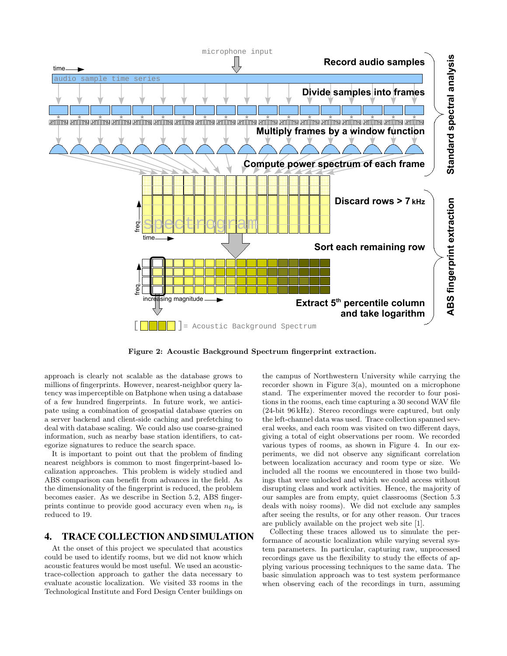

Figure 2: Acoustic Background Spectrum fingerprint extraction.

approach is clearly not scalable as the database grows to millions of fingerprints. However, nearest-neighbor query latency was imperceptible on Batphone when using a database of a few hundred fingerprints. In future work, we anticipate using a combination of geospatial database queries on a server backend and client-side caching and prefetching to deal with database scaling. We could also use coarse-grained information, such as nearby base station identifiers, to categorize signatures to reduce the search space.

It is important to point out that the problem of finding nearest neighbors is common to most fingerprint-based localization approaches. This problem is widely studied and ABS comparison can benefit from advances in the field. As the dimensionality of the fingerprint is reduced, the problem becomes easier. As we describe in Section 5.2, ABS fingerprints continue to provide good accuracy even when  $n_{\text{fp}}$  is reduced to 19.

## 4. TRACE COLLECTION AND SIMULATION

At the onset of this project we speculated that acoustics could be used to identify rooms, but we did not know which acoustic features would be most useful. We used an acoustictrace-collection approach to gather the data necessary to evaluate acoustic localization. We visited 33 rooms in the Technological Institute and Ford Design Center buildings on

the campus of Northwestern University while carrying the recorder shown in Figure 3(a), mounted on a microphone stand. The experimenter moved the recorder to four positions in the rooms, each time capturing a 30 second WAV file (24-bit 96 kHz). Stereo recordings were captured, but only the left-channel data was used. Trace collection spanned several weeks, and each room was visited on two different days, giving a total of eight observations per room. We recorded various types of rooms, as shown in Figure 4. In our experiments, we did not observe any significant correlation between localization accuracy and room type or size. We included all the rooms we encountered in those two buildings that were unlocked and which we could access without disrupting class and work activities. Hence, the majority of our samples are from empty, quiet classrooms (Section 5.3 deals with noisy rooms). We did not exclude any samples after seeing the results, or for any other reason. Our traces are publicly available on the project web site [1].

Collecting these traces allowed us to simulate the performance of acoustic localization while varying several system parameters. In particular, capturing raw, unprocessed recordings gave us the flexibility to study the effects of applying various processing techniques to the same data. The basic simulation approach was to test system performance when observing each of the recordings in turn, assuming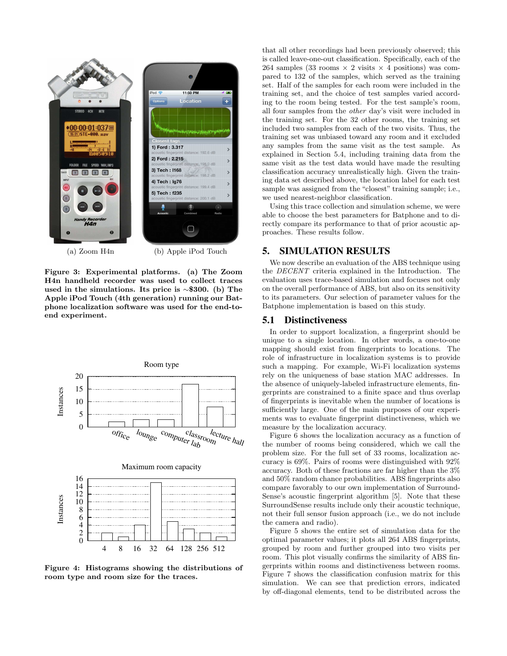

(a) Zoom H4n (b) Apple iPod Touch

Figure 3: Experimental platforms. (a) The Zoom H4n handheld recorder was used to collect traces used in the simulations. Its price is ∼\$300. (b) The Apple iPod Touch (4th generation) running our Batphone localization software was used for the end-toend experiment.





Figure 4: Histograms showing the distributions of room type and room size for the traces.

that all other recordings had been previously observed; this is called leave-one-out classification. Specifically, each of the 264 samples (33 rooms  $\times$  2 visits  $\times$  4 positions) was compared to 132 of the samples, which served as the training set. Half of the samples for each room were included in the training set, and the choice of test samples varied according to the room being tested. For the test sample's room, all four samples from the other day's visit were included in the training set. For the 32 other rooms, the training set included two samples from each of the two visits. Thus, the training set was unbiased toward any room and it excluded any samples from the same visit as the test sample. As explained in Section 5.4, including training data from the same visit as the test data would have made the resulting classification accuracy unrealistically high. Given the training data set described above, the location label for each test sample was assigned from the "closest" training sample; i.e., we used nearest-neighbor classification.

Using this trace collection and simulation scheme, we were able to choose the best parameters for Batphone and to directly compare its performance to that of prior acoustic approaches. These results follow.

# 5. SIMULATION RESULTS

We now describe an evaluation of the ABS technique using the DECENT criteria explained in the Introduction. The evaluation uses trace-based simulation and focuses not only on the overall performance of ABS, but also on its sensitivity to its parameters. Our selection of parameter values for the Batphone implementation is based on this study.

## 5.1 Distinctiveness

In order to support localization, a fingerprint should be unique to a single location. In other words, a one-to-one mapping should exist from fingerprints to locations. The role of infrastructure in localization systems is to provide such a mapping. For example, Wi-Fi localization systems rely on the uniqueness of base station MAC addresses. In the absence of uniquely-labeled infrastructure elements, fingerprints are constrained to a finite space and thus overlap of fingerprints is inevitable when the number of locations is sufficiently large. One of the main purposes of our experiments was to evaluate fingerprint distinctiveness, which we measure by the localization accuracy.

Figure 6 shows the localization accuracy as a function of the number of rooms being considered, which we call the problem size. For the full set of 33 rooms, localization accuracy is 69%. Pairs of rooms were distinguished with 92% accuracy. Both of these fractions are far higher than the 3% and 50% random chance probabilities. ABS fingerprints also compare favorably to our own implementation of Surround-Sense's acoustic fingerprint algorithm [5]. Note that these SurroundSense results include only their acoustic technique, not their full sensor fusion approach (i.e., we do not include the camera and radio).

Figure 5 shows the entire set of simulation data for the optimal parameter values; it plots all 264 ABS fingerprints, grouped by room and further grouped into two visits per room. This plot visually confirms the similarity of ABS fingerprints within rooms and distinctiveness between rooms. Figure 7 shows the classification confusion matrix for this simulation. We can see that prediction errors, indicated by off-diagonal elements, tend to be distributed across the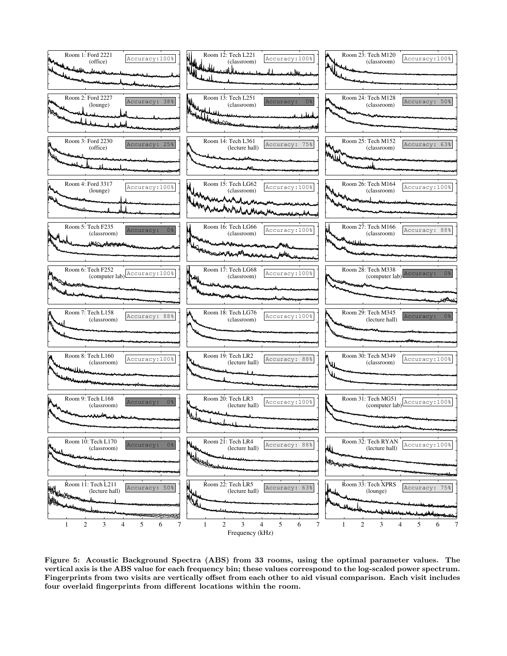

Figure 5: Acoustic Background Spectra (ABS) from 33 rooms, using the optimal parameter values. The vertical axis is the ABS value for each frequency bin; these values correspond to the log-scaled power spectrum. Fingerprints from two visits are vertically offset from each other to aid visual comparison. Each visit includes four overlaid fingerprints from different locations within the room.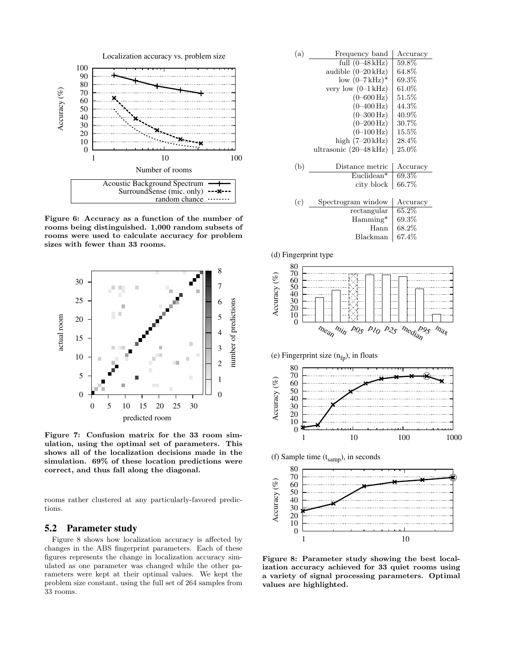

Figure 6: Accuracy as a function of the number of rooms being distinguished. 1,000 random subsets of rooms were used to calculate accuracy for problem sizes with fewer than 33 rooms.



Figure 7: Confusion matrix for the 33 room simulation, using the optimal set of parameters. This shows all of the localization decisions made in the simulation. 69% of these location predictions were correct, and thus fall along the diagonal.

rooms rather clustered at any particularly-favored predictions.

# 5.2 Parameter study

Figure 8 shows how localization accuracy is affected by changes in the ABS fingerprint parameters. Each of these figures represents the change in localization accuracy simulated as one parameter was changed while the other parameters were kept at their optimal values. We kept the problem size constant, using the full set of 264 samples from 33 rooms.

| (a) | Frequency band                   | Accuracy |
|-----|----------------------------------|----------|
|     | full $(0-48 \text{ kHz})$        | 59.8%    |
|     | audible $(0-20 \text{ kHz})$     | $64.8\%$ |
|     | low $(0-7 \text{ kHz})^*$        | $69.3\%$ |
|     | very low $(0-1 \text{ kHz})$     | $61.0\%$ |
|     | $(0 - 600$ Hz)                   | 51.5%    |
|     | $(0 - 400 \text{ Hz})$           | 44.3%    |
|     | $(0 - 300 \text{ Hz})$           | $40.9\%$ |
|     | $(0-200 \text{ Hz})$             | 30.7%    |
|     | $(0-100 \text{ Hz})$             | $15.5\%$ |
|     | high $(7-20$ kHz)                | $28.4\%$ |
|     | ultrasonic $(20-48 \text{ kHz})$ | $25.0\%$ |
|     |                                  |          |
| (b) | Distance metric                  | Accuracy |
|     | $Euclidean*$                     | 69.3%    |
|     | city block                       | $66.7\%$ |
|     |                                  |          |
| (c) | Spectrogram window               | Accuracy |
|     | rectangular                      | 65.2%    |
|     | Hamming*                         | 69.3%    |
|     | Hann                             | $68.2\%$ |
|     | Blackman                         | $67.4\%$ |



 0 10 20



Figure 8: Parameter study showing the best localization accuracy achieved for 33 quiet rooms using a variety of signal processing parameters. Optimal values are highlighted.

1 10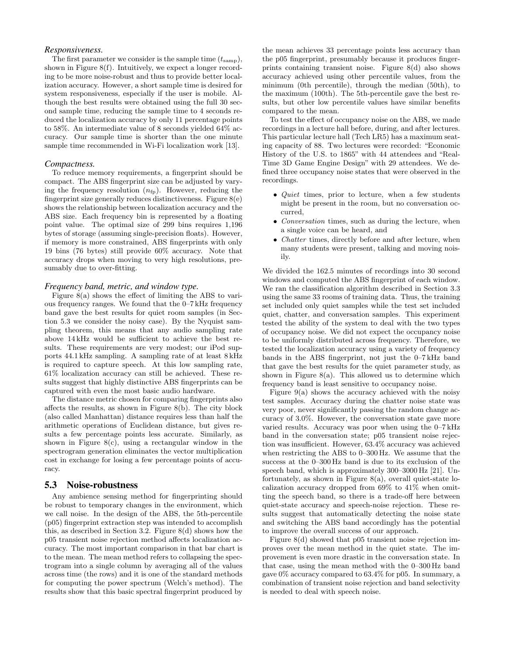## *Responsiveness.*

The first parameter we consider is the sample time  $(t_{\text{samn}})$ , shown in Figure 8(f). Intuitively, we expect a longer recording to be more noise-robust and thus to provide better localization accuracy. However, a short sample time is desired for system responsiveness, especially if the user is mobile. Although the best results were obtained using the full 30 second sample time, reducing the sample time to 4 seconds reduced the localization accuracy by only 11 percentage points to 58%. An intermediate value of 8 seconds yielded 64% accuracy. Our sample time is shorter than the one minute sample time recommended in Wi-Fi localization work [13].

#### *Compactness.*

To reduce memory requirements, a fingerprint should be compact. The ABS fingerprint size can be adjusted by varying the frequency resolution  $(n_{\text{fp}})$ . However, reducing the fingerprint size generally reduces distinctiveness. Figure 8(e) shows the relationship between localization accuracy and the ABS size. Each frequency bin is represented by a floating point value. The optimal size of 299 bins requires 1,196 bytes of storage (assuming single-precision floats). However, if memory is more constrained, ABS fingerprints with only 19 bins (76 bytes) still provide 60% accuracy. Note that accuracy drops when moving to very high resolutions, presumably due to over-fitting.

#### *Frequency band, metric, and window type.*

Figure 8(a) shows the effect of limiting the ABS to various frequency ranges. We found that the 0–7 kHz frequency band gave the best results for quiet room samples (in Section 5.3 we consider the noisy case). By the Nyquist sampling theorem, this means that any audio sampling rate above 14 kHz would be sufficient to achieve the best results. These requirements are very modest; our iPod supports 44.1 kHz sampling. A sampling rate of at least 8 kHz is required to capture speech. At this low sampling rate, 61% localization accuracy can still be achieved. These results suggest that highly distinctive ABS fingerprints can be captured with even the most basic audio hardware.

The distance metric chosen for comparing fingerprints also affects the results, as shown in Figure 8(b). The city block (also called Manhattan) distance requires less than half the arithmetic operations of Euclidean distance, but gives results a few percentage points less accurate. Similarly, as shown in Figure 8(c), using a rectangular window in the spectrogram generation eliminates the vector multiplication cost in exchange for losing a few percentage points of accuracy.

## 5.3 Noise-robustness

Any ambience sensing method for fingerprinting should be robust to temporary changes in the environment, which we call noise. In the design of the ABS, the 5th-percentile (p05) fingerprint extraction step was intended to accomplish this, as described in Section 3.2. Figure 8(d) shows how the p05 transient noise rejection method affects localization accuracy. The most important comparison in that bar chart is to the mean. The mean method refers to collapsing the spectrogram into a single column by averaging all of the values across time (the rows) and it is one of the standard methods for computing the power spectrum (Welch's method). The results show that this basic spectral fingerprint produced by

the mean achieves 33 percentage points less accuracy than the p05 fingerprint, presumably because it produces fingerprints containing transient noise. Figure 8(d) also shows accuracy achieved using other percentile values, from the minimum (0th percentile), through the median (50th), to the maximum (100th). The 5th-percentile gave the best results, but other low percentile values have similar benefits compared to the mean.

To test the effect of occupancy noise on the ABS, we made recordings in a lecture hall before, during, and after lectures. This particular lecture hall (Tech LR5) has a maximum seating capacity of 88. Two lectures were recorded: "Economic History of the U.S. to 1865" with 44 attendees and "Real-Time 3D Game Engine Design" with 29 attendees. We defined three occupancy noise states that were observed in the recordings.

- *Quiet* times, prior to lecture, when a few students might be present in the room, but no conversation occurred,
- *Conversation* times, such as during the lecture, when a single voice can be heard, and
- *Chatter* times, directly before and after lecture, when many students were present, talking and moving noisily.

We divided the 162.5 minutes of recordings into 30 second windows and computed the ABS fingerprint of each window. We ran the classification algorithm described in Section 3.3 using the same 33 rooms of training data. Thus, the training set included only quiet samples while the test set included quiet, chatter, and conversation samples. This experiment tested the ability of the system to deal with the two types of occupancy noise. We did not expect the occupancy noise to be uniformly distributed across frequency. Therefore, we tested the localization accuracy using a variety of frequency bands in the ABS fingerprint, not just the 0–7 kHz band that gave the best results for the quiet parameter study, as shown in Figure  $8(a)$ . This allowed us to determine which frequency band is least sensitive to occupancy noise.

Figure  $9(a)$  shows the accuracy achieved with the noisy test samples. Accuracy during the chatter noise state was very poor, never significantly passing the random change accuracy of 3.0%. However, the conversation state gave more varied results. Accuracy was poor when using the 0–7 kHz band in the conversation state; p05 transient noise rejection was insufficient. However, 63.4% accuracy was achieved when restricting the ABS to 0–300 Hz. We assume that the success at the 0–300 Hz band is due to its exclusion of the speech band, which is approximately 300–3000 Hz [21]. Unfortunately, as shown in Figure 8(a), overall quiet-state localization accuracy dropped from 69% to 41% when omitting the speech band, so there is a trade-off here between quiet-state accuracy and speech-noise rejection. These results suggest that automatically detecting the noise state and switching the ABS band accordingly has the potential to improve the overall success of our approach.

Figure 8(d) showed that p05 transient noise rejection improves over the mean method in the quiet state. The improvement is even more drastic in the conversation state. In that case, using the mean method with the 0–300 Hz band gave 0% accuracy compared to 63.4% for p05. In summary, a combination of transient noise rejection and band selectivity is needed to deal with speech noise.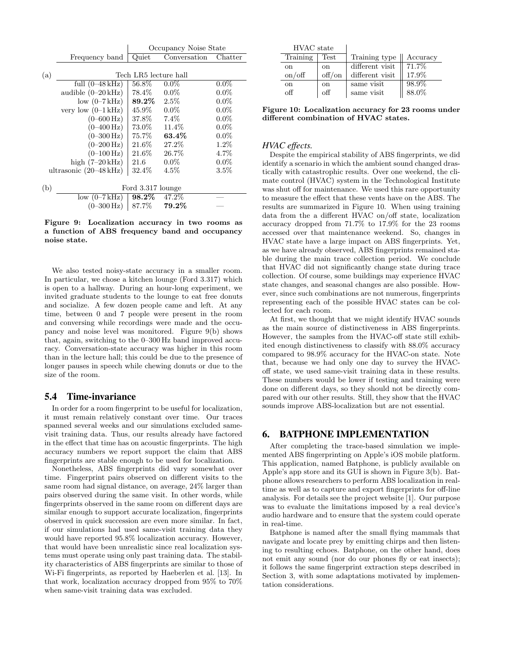|     |                                  | Occupancy Noise State |              |         |
|-----|----------------------------------|-----------------------|--------------|---------|
|     | Frequency band                   | Quiet                 | Conversation | Chatter |
|     |                                  |                       |              |         |
| (a) | Tech LR5 lecture hall            |                       |              |         |
|     | full $(0-48$ kHz)                | 56.8%                 | $0.0\%$      | $0.0\%$ |
|     | audible $(0-20 \text{ kHz})$     | 78.4%                 | $0.0\%$      | $0.0\%$ |
|     | $low (0-7 kHz)$                  | 89.2%                 | 2.5%         | $0.0\%$ |
|     | very low $(0-1 \text{ kHz})$     | 45.9%                 | $0.0\%$      | $0.0\%$ |
|     | $(0 - 600 Hz)$                   | 37.8%                 | $7.4\%$      | $0.0\%$ |
|     | $(0-400 \text{ Hz})$             | 73.0%                 | 11.4\%       | $0.0\%$ |
|     | $(0-300 \text{ Hz})$             | 75.7%                 | 63.4%        | $0.0\%$ |
|     | $(0-200 \text{ Hz})$             | 21.6\%                | 27.2%        | $1.2\%$ |
|     | $(0-100 \text{ Hz})$             | 21.6%                 | 26.7%        | 4.7%    |
|     | high $(7-20$ kHz)                | 21.6                  | $0.0\%$      | $0.0\%$ |
|     | ultrasonic $(20-48 \text{ kHz})$ | 32.4\%                | $4.5\%$      | $3.5\%$ |
| (b) | Ford 3.317 lounge                |                       |              |         |
|     | low (0–7 kHz)                    | $98.2\%$              | 47.2\%       |         |
|     | $(0-300 \text{ Hz})$             | 87.7%                 | 79.2%        |         |

Figure 9: Localization accuracy in two rooms as a function of ABS frequency band and occupancy noise state.

We also tested noisy-state accuracy in a smaller room. In particular, we chose a kitchen lounge (Ford 3.317) which is open to a hallway. During an hour-long experiment, we invited graduate students to the lounge to eat free donuts and socialize. A few dozen people came and left. At any time, between 0 and 7 people were present in the room and conversing while recordings were made and the occupancy and noise level was monitored. Figure 9(b) shows that, again, switching to the 0–300 Hz band improved accuracy. Conversation-state accuracy was higher in this room than in the lecture hall; this could be due to the presence of longer pauses in speech while chewing donuts or due to the size of the room.

## 5.4 Time-invariance

In order for a room fingerprint to be useful for localization, it must remain relatively constant over time. Our traces spanned several weeks and our simulations excluded samevisit training data. Thus, our results already have factored in the effect that time has on acoustic fingerprints. The high accuracy numbers we report support the claim that ABS fingerprints are stable enough to be used for localization.

Nonetheless, ABS fingerprints did vary somewhat over time. Fingerprint pairs observed on different visits to the same room had signal distance, on average, 24% larger than pairs observed during the same visit. In other words, while fingerprints observed in the same room on different days are similar enough to support accurate localization, fingerprints observed in quick succession are even more similar. In fact, if our simulations had used same-visit training data they would have reported 95.8% localization accuracy. However, that would have been unrealistic since real localization systems must operate using only past training data. The stability characteristics of ABS fingerprints are similar to those of Wi-Fi fingerprints, as reported by Haeberlen et al. [13]. In that work, localization accuracy dropped from 95% to 70% when same-visit training data was excluded.

| HVAC state    |                        |                 |          |
|---------------|------------------------|-----------------|----------|
| Training      | Test                   | Training type   | Accuracy |
| <sub>on</sub> | on                     | different visit | 71.7%    |
| $\omega$      | $\text{off}/\text{on}$ | different visit | 17.9%    |
| on            | on                     | same visit      | 98.9%    |
| off           | $\alpha$ ff            | same visit      | 88.0%    |

Figure 10: Localization accuracy for 23 rooms under different combination of HVAC states.

## *HVAC effects.*

Despite the empirical stability of ABS fingerprints, we did identify a scenario in which the ambient sound changed drastically with catastrophic results. Over one weekend, the climate control (HVAC) system in the Technological Institute was shut off for maintenance. We used this rare opportunity to measure the effect that these vents have on the ABS. The results are summarized in Figure 10. When using training data from the a different HVAC on/off state, localization accuracy dropped from 71.7% to 17.9% for the 23 rooms accessed over that maintenance weekend. So, changes in HVAC state have a large impact on ABS fingerprints. Yet, as we have already observed, ABS fingerprints remained stable during the main trace collection period. We conclude that HVAC did not significantly change state during trace collection. Of course, some buildings may experience HVAC state changes, and seasonal changes are also possible. However, since such combinations are not numerous, fingerprints representing each of the possible HVAC states can be collected for each room.

At first, we thought that we might identify HVAC sounds as the main source of distinctiveness in ABS fingerprints. However, the samples from the HVAC-off state still exhibited enough distinctiveness to classify with 88.0% accuracy compared to 98.9% accuracy for the HVAC-on state. Note that, because we had only one day to survey the HVACoff state, we used same-visit training data in these results. These numbers would be lower if testing and training were done on different days, so they should not be directly compared with our other results. Still, they show that the HVAC sounds improve ABS-localization but are not essential.

# 6. BATPHONE IMPLEMENTATION

After completing the trace-based simulation we implemented ABS fingerprinting on Apple's iOS mobile platform. This application, named Batphone, is publicly available on Apple's app store and its GUI is shown in Figure 3(b). Batphone allows researchers to perform ABS localization in realtime as well as to capture and export fingerprints for off-line analysis. For details see the project website [1]. Our purpose was to evaluate the limitations imposed by a real device's audio hardware and to ensure that the system could operate in real-time.

Batphone is named after the small flying mammals that navigate and locate prey by emitting chirps and then listening to resulting echoes. Batphone, on the other hand, does not emit any sound (nor do our phones fly or eat insects); it follows the same fingerprint extraction steps described in Section 3, with some adaptations motivated by implementation considerations.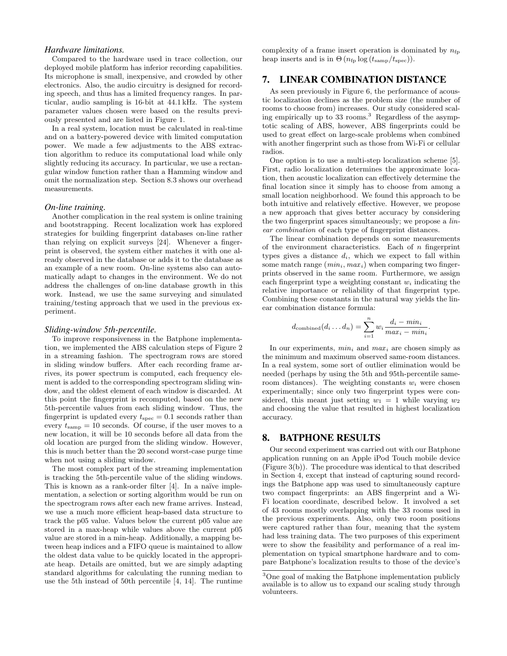#### *Hardware limitations.*

Compared to the hardware used in trace collection, our deployed mobile platform has inferior recording capabilities. Its microphone is small, inexpensive, and crowded by other electronics. Also, the audio circuitry is designed for recording speech, and thus has a limited frequency ranges. In particular, audio sampling is 16-bit at 44.1 kHz. The system parameter values chosen were based on the results previously presented and are listed in Figure 1.

In a real system, location must be calculated in real-time and on a battery-powered device with limited computation power. We made a few adjustments to the ABS extraction algorithm to reduce its computational load while only slightly reducing its accuracy. In particular, we use a rectangular window function rather than a Hamming window and omit the normalization step. Section 8.3 shows our overhead measurements.

#### *On-line training.*

Another complication in the real system is online training and bootstrapping. Recent localization work has explored strategies for building fingerprint databases on-line rather than relying on explicit surveys [24]. Whenever a fingerprint is observed, the system either matches it with one already observed in the database or adds it to the database as an example of a new room. On-line systems also can automatically adapt to changes in the environment. We do not address the challenges of on-line database growth in this work. Instead, we use the same surveying and simulated training/testing approach that we used in the previous experiment.

#### *Sliding-window 5th-percentile.*

To improve responsiveness in the Batphone implementation, we implemented the ABS calculation steps of Figure 2 in a streaming fashion. The spectrogram rows are stored in sliding window buffers. After each recording frame arrives, its power spectrum is computed, each frequency element is added to the corresponding spectrogram sliding window, and the oldest element of each window is discarded. At this point the fingerprint is recomputed, based on the new 5th-percentile values from each sliding window. Thus, the fingerprint is updated every  $t_{\rm spec} = 0.1$  seconds rather than every  $t_{\text{sample}} = 10$  seconds. Of course, if the user moves to a new location, it will be 10 seconds before all data from the old location are purged from the sliding window. However, this is much better than the 20 second worst-case purge time when not using a sliding window.

The most complex part of the streaming implementation is tracking the 5th-percentile value of the sliding windows. This is known as a rank-order filter  $[4]$ . In a naïve implementation, a selection or sorting algorithm would be run on the spectrogram rows after each new frame arrives. Instead, we use a much more efficient heap-based data structure to track the p05 value. Values below the current p05 value are stored in a max-heap while values above the current p05 value are stored in a min-heap. Additionally, a mapping between heap indices and a FIFO queue is maintained to allow the oldest data value to be quickly located in the appropriate heap. Details are omitted, but we are simply adapting standard algorithms for calculating the running median to use the 5th instead of 50th percentile [4, 14]. The runtime

complexity of a frame insert operation is dominated by  $n_{\text{fn}}$ heap inserts and is in  $\Theta(n_{\text{fp}} \log (t_{\text{sample}}))$ .

## 7. LINEAR COMBINATION DISTANCE

As seen previously in Figure 6, the performance of acoustic localization declines as the problem size (the number of rooms to choose from) increases. Our study considered scaling empirically up to  $33$  rooms.<sup>3</sup> Regardless of the asymptotic scaling of ABS, however, ABS fingerprints could be used to great effect on large-scale problems when combined with another fingerprint such as those from Wi-Fi or cellular radios.

One option is to use a multi-step localization scheme [5]. First, radio localization determines the approximate location, then acoustic localization can effectively determine the final location since it simply has to choose from among a small location neighborhood. We found this approach to be both intuitive and relatively effective. However, we propose a new approach that gives better accuracy by considering the two fingerprint spaces simultaneously; we propose a linear combination of each type of fingerprint distances.

The linear combination depends on some measurements of the environment characteristics. Each of  $n$  fingerprint types gives a distance  $d_i$ , which we expect to fall within some match range  $(min_i, max_i)$  when comparing two fingerprints observed in the same room. Furthermore, we assign each fingerprint type a weighting constant  $w_i$  indicating the relative importance or reliability of that fingerprint type. Combining these constants in the natural way yields the linear combination distance formula:

$$
d_{\text{combined}}(d_i \dots d_n) = \sum_{i=1}^n w_i \frac{d_i - min_i}{max_i - min_i}.
$$

In our experiments,  $min_i$  and  $max_i$  are chosen simply as the minimum and maximum observed same-room distances. In a real system, some sort of outlier elimination would be needed (perhaps by using the 5th and 95th-percentile sameroom distances). The weighting constants  $w_i$  were chosen experimentally; since only two fingerprint types were considered, this meant just setting  $w_1 = 1$  while varying  $w_2$ and choosing the value that resulted in highest localization accuracy.

# 8. BATPHONE RESULTS

Our second experiment was carried out with our Batphone application running on an Apple iPod Touch mobile device (Figure 3(b)). The procedure was identical to that described in Section 4, except that instead of capturing sound recordings the Batphone app was used to simultaneously capture two compact fingerprints: an ABS fingerprint and a Wi-Fi location coordinate, described below. It involved a set of 43 rooms mostly overlapping with the 33 rooms used in the previous experiments. Also, only two room positions were captured rather than four, meaning that the system had less training data. The two purposes of this experiment were to show the feasibility and performance of a real implementation on typical smartphone hardware and to compare Batphone's localization results to those of the device's

<sup>3</sup>One goal of making the Batphone implementation publicly available is to allow us to expand our scaling study through volunteers.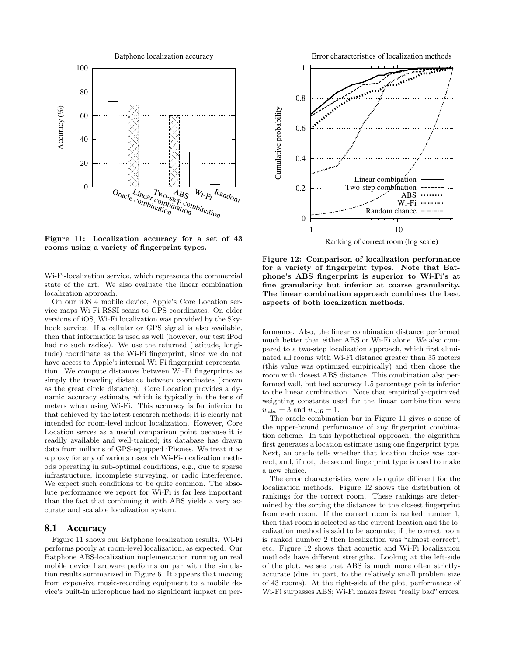

Figure 11: Localization accuracy for a set of 43 rooms using a variety of fingerprint types.

Wi-Fi-localization service, which represents the commercial state of the art. We also evaluate the linear combination localization approach.

On our iOS 4 mobile device, Apple's Core Location service maps Wi-Fi RSSI scans to GPS coordinates. On older versions of iOS, Wi-Fi localization was provided by the Skyhook service. If a cellular or GPS signal is also available, then that information is used as well (however, our test iPod had no such radios). We use the returned (latitude, longitude) coordinate as the Wi-Fi fingerprint, since we do not have access to Apple's internal Wi-Fi fingerprint representation. We compute distances between Wi-Fi fingerprints as simply the traveling distance between coordinates (known as the great circle distance). Core Location provides a dynamic accuracy estimate, which is typically in the tens of meters when using Wi-Fi. This accuracy is far inferior to that achieved by the latest research methods; it is clearly not intended for room-level indoor localization. However, Core Location serves as a useful comparison point because it is readily available and well-trained; its database has drawn data from millions of GPS-equipped iPhones. We treat it as a proxy for any of various research Wi-Fi-localization methods operating in sub-optimal conditions, e.g., due to sparse infrastructure, incomplete surveying, or radio interference. We expect such conditions to be quite common. The absolute performance we report for Wi-Fi is far less important than the fact that combining it with ABS yields a very accurate and scalable localization system.

## 8.1 Accuracy

Figure 11 shows our Batphone localization results. Wi-Fi performs poorly at room-level localization, as expected. Our Batphone ABS-localization implementation running on real mobile device hardware performs on par with the simulation results summarized in Figure 6. It appears that moving from expensive music-recording equipment to a mobile device's built-in microphone had no significant impact on per-

Error characteristics of localization methods



Ranking of correct room (log scale)

Figure 12: Comparison of localization performance for a variety of fingerprint types. Note that Batphone's ABS fingerprint is superior to Wi-Fi's at fine granularity but inferior at coarse granularity. The linear combination approach combines the best aspects of both localization methods.

formance. Also, the linear combination distance performed much better than either ABS or Wi-Fi alone. We also compared to a two-step localization approach, which first eliminated all rooms with Wi-Fi distance greater than 35 meters (this value was optimized empirically) and then chose the room with closest ABS distance. This combination also performed well, but had accuracy 1.5 percentage points inferior to the linear combination. Note that empirically-optimized weighting constants used for the linear combination were  $w_{\text{abs}} = 3$  and  $w_{\text{wifi}} = 1$ .

The oracle combination bar in Figure 11 gives a sense of the upper-bound performance of any fingerprint combination scheme. In this hypothetical approach, the algorithm first generates a location estimate using one fingerprint type. Next, an oracle tells whether that location choice was correct, and, if not, the second fingerprint type is used to make a new choice.

The error characteristics were also quite different for the localization methods. Figure 12 shows the distribution of rankings for the correct room. These rankings are determined by the sorting the distances to the closest fingerprint from each room. If the correct room is ranked number 1, then that room is selected as the current location and the localization method is said to be accurate; if the correct room is ranked number 2 then localization was "almost correct", etc. Figure 12 shows that acoustic and Wi-Fi localization methods have different strengths. Looking at the left-side of the plot, we see that ABS is much more often strictlyaccurate (due, in part, to the relatively small problem size of 43 rooms). At the right-side of the plot, performance of Wi-Fi surpasses ABS; Wi-Fi makes fewer "really bad" errors.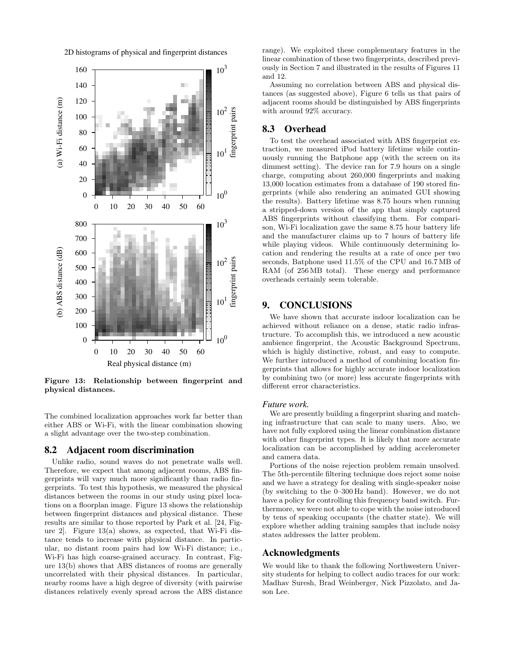2D histograms of physical and fingerprint distances



Figure 13: Relationship between fingerprint and physical distances.

The combined localization approaches work far better than either ABS or Wi-Fi, with the linear combination showing a slight advantage over the two-step combination.

## 8.2 Adjacent room discrimination

Unlike radio, sound waves do not penetrate walls well. Therefore, we expect that among adjacent rooms, ABS fingerprints will vary much more significantly than radio fingerprints. To test this hypothesis, we measured the physical distances between the rooms in our study using pixel locations on a floorplan image. Figure 13 shows the relationship between fingerprint distances and physical distance. These results are similar to those reported by Park et al. [24, Figure 2. Figure  $13(a)$  shows, as expected, that Wi-Fi distance tends to increase with physical distance. In particular, no distant room pairs had low Wi-Fi distance; i.e., Wi-Fi has high coarse-grained accuracy. In contrast, Figure 13(b) shows that ABS distances of rooms are generally uncorrelated with their physical distances. In particular, nearby rooms have a high degree of diversity (with pairwise distances relatively evenly spread across the ABS distance

range). We exploited these complementary features in the linear combination of these two fingerprints, described previously in Section 7 and illustrated in the results of Figures 11 and 12.

Assuming no correlation between ABS and physical distances (as suggested above), Figure 6 tells us that pairs of adjacent rooms should be distinguished by ABS fingerprints with around 92% accuracy.

## 8.3 Overhead

To test the overhead associated with ABS fingerprint extraction, we measured iPod battery lifetime while continuously running the Batphone app (with the screen on its dimmest setting). The device ran for 7.9 hours on a single charge, computing about 260,000 fingerprints and making 13,000 location estimates from a database of 190 stored fingerprints (while also rendering an animated GUI showing the results). Battery lifetime was 8.75 hours when running a stripped-down version of the app that simply captured ABS fingerprints without classifying them. For comparison, Wi-Fi localization gave the same 8.75 hour battery life and the manufacturer claims up to 7 hours of battery life while playing videos. While continuously determining location and rendering the results at a rate of once per two seconds, Batphone used 11.5% of the CPU and 16.7 MB of RAM (of 256 MB total). These energy and performance overheads certainly seem tolerable.

# 9. CONCLUSIONS

We have shown that accurate indoor localization can be achieved without reliance on a dense, static radio infrastructure. To accomplish this, we introduced a new acoustic ambience fingerprint, the Acoustic Background Spectrum, which is highly distinctive, robust, and easy to compute. We further introduced a method of combining location fingerprints that allows for highly accurate indoor localization by combining two (or more) less accurate fingerprints with different error characteristics.

#### *Future work.*

We are presently building a fingerprint sharing and matching infrastructure that can scale to many users. Also, we have not fully explored using the linear combination distance with other fingerprint types. It is likely that more accurate localization can be accomplished by adding accelerometer and camera data.

Portions of the noise rejection problem remain unsolved. The 5th-percentile filtering technique does reject some noise and we have a strategy for dealing with single-speaker noise (by switching to the 0–300 Hz band). However, we do not have a policy for controlling this frequency band switch. Furthermore, we were not able to cope with the noise introduced by tens of speaking occupants (the chatter state). We will explore whether adding training samples that include noisy states addresses the latter problem.

## Acknowledgments

We would like to thank the following Northwestern University students for helping to collect audio traces for our work: Madhav Suresh, Brad Weinberger, Nick Pizzolato, and Jason Lee.